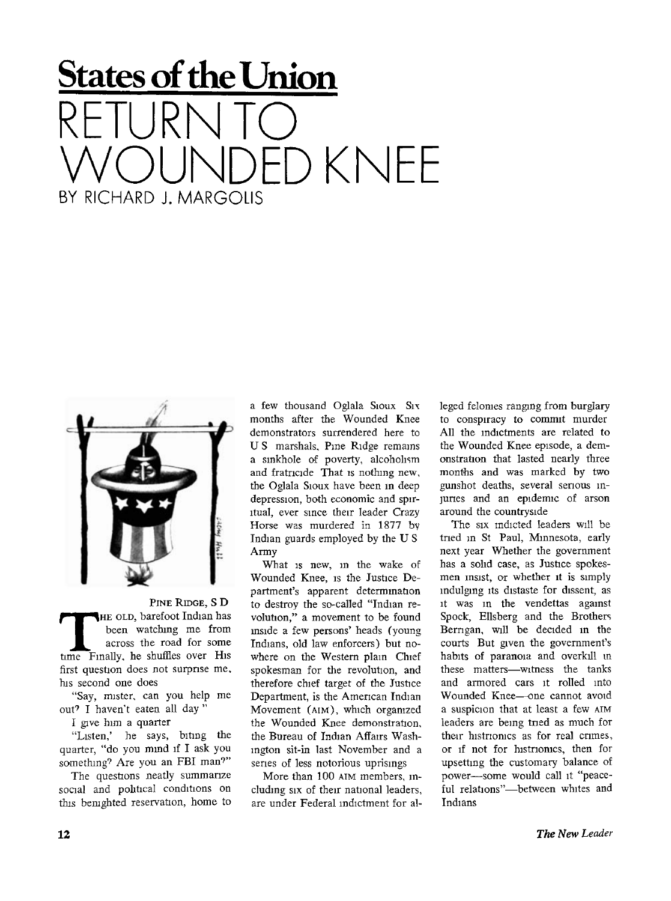## **States of the Union**  RETURN TO ) KNFF **BY RICHARD J, MARGOLIS**



PINE RIDGE, SD **THE RIDGE, S D**<br>
THE OLD, barefoot Indian has<br>
been watching me from<br>
across the road for some<br>
time Finally, he shuffles over His HE OLD, barefoot Indian has been watching me from across the road for some first question does not surprise me, his second one does

"Say, mister, can you help me out? I haven't eaten all day"

I give him a quarter

"Listen,' he says, biting the quarter, "do you mind if I ask you something? Are you an FBI man?"

The questions neatly summarize social and political conditions on this benighted reservation, home to

a few thousand Oglala Sioux Six months after the Wounded Knee demonstrators surrendered here to U S marshals. Pine Ridge remains a sinkhole of poverty, alcoholism and fratricide That is nothing new, the Oglala Sioux have been in deep depression, both economic and spiritual, ever since their leader Crazy Horse was murdered in 1877 by Indian guards employed by the U S Army

What is new, in the wake of Wounded Knee, is the Justice Department's apparent determination to destroy the so-called "Indian revolution," a movement to be found mside a few persons' heads (young Indians, old law enforcers) but nowhere on the Western plain Chief spokesman for the revolution, and therefore chief target of the Justice Department, is the American Indian Movement (AIM), which organized the Wounded Knee demonstration, the Bureau of Indian Affairs Washington sit-in last November and a series of less notorious uprisings

More than 100 AIM members, including six of their national leaders, are under Federal indictment for alleged felomes ranging from burglary to conspiracy to commit murder All the indictments are related to the Wounded Knee episode, a demonstration that lasted nearly three months and was marked by two gunshot deaths, several serious injuries and an epidemic of arson around the countryside

The six indicted leaders will be tried in St Paul, Minnesota, early next year Whether the government has a solid case, as Justice spokesmen insist, or whether it is simply indulging its distaste for dissent, as it was m the vendettas against Spock, Ellsberg and the Brothers Berngan, will be decided in the courts But given the government's habits of paranoia and overkill in these matters—witness the tanks and armored cars it rolled into Wounded Knee—one cannot avoid a suspicion that at least a few AIM leaders are being tried as much for their histrionics as for real crimes, or if not for histrionics, then for upsetting the customary balance of power—some would call it "peaceful relations"—between whites and Indians